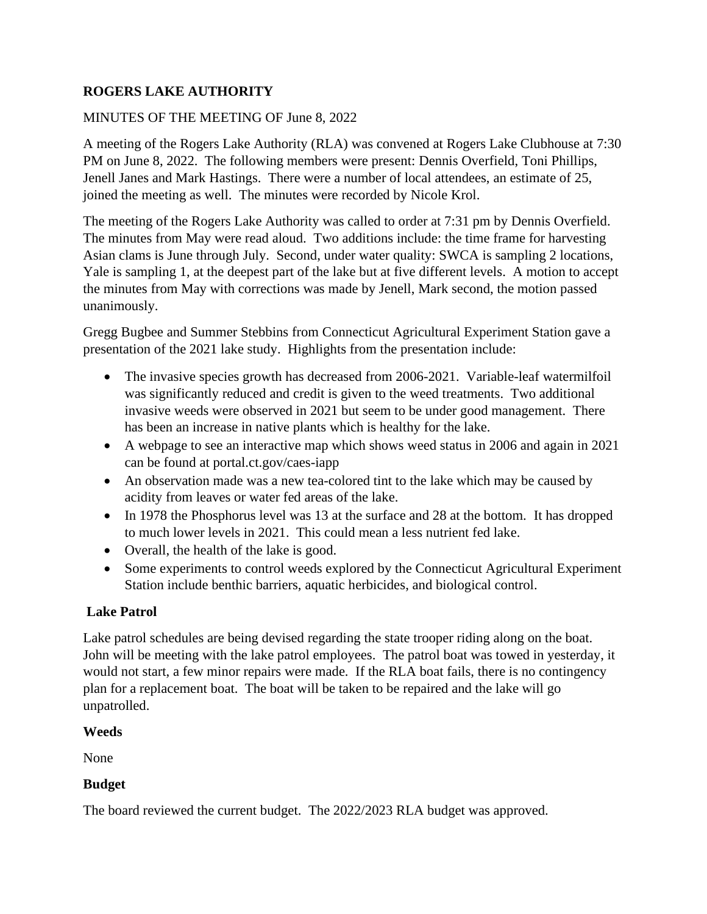## **ROGERS LAKE AUTHORITY**

## MINUTES OF THE MEETING OF June 8, 2022

A meeting of the Rogers Lake Authority (RLA) was convened at Rogers Lake Clubhouse at 7:30 PM on June 8, 2022. The following members were present: Dennis Overfield, Toni Phillips, Jenell Janes and Mark Hastings. There were a number of local attendees, an estimate of 25, joined the meeting as well. The minutes were recorded by Nicole Krol.

The meeting of the Rogers Lake Authority was called to order at 7:31 pm by Dennis Overfield. The minutes from May were read aloud. Two additions include: the time frame for harvesting Asian clams is June through July. Second, under water quality: SWCA is sampling 2 locations, Yale is sampling 1, at the deepest part of the lake but at five different levels. A motion to accept the minutes from May with corrections was made by Jenell, Mark second, the motion passed unanimously.

Gregg Bugbee and Summer Stebbins from Connecticut Agricultural Experiment Station gave a presentation of the 2021 lake study. Highlights from the presentation include:

- The invasive species growth has decreased from 2006-2021. Variable-leaf watermilfoil was significantly reduced and credit is given to the weed treatments. Two additional invasive weeds were observed in 2021 but seem to be under good management. There has been an increase in native plants which is healthy for the lake.
- A webpage to see an interactive map which shows weed status in 2006 and again in 2021 can be found at portal.ct.gov/caes-iapp
- An observation made was a new tea-colored tint to the lake which may be caused by acidity from leaves or water fed areas of the lake.
- In 1978 the Phosphorus level was 13 at the surface and 28 at the bottom. It has dropped to much lower levels in 2021. This could mean a less nutrient fed lake.
- Overall, the health of the lake is good.
- Some experiments to control weeds explored by the Connecticut Agricultural Experiment Station include benthic barriers, aquatic herbicides, and biological control.

## **Lake Patrol**

Lake patrol schedules are being devised regarding the state trooper riding along on the boat. John will be meeting with the lake patrol employees. The patrol boat was towed in yesterday, it would not start, a few minor repairs were made. If the RLA boat fails, there is no contingency plan for a replacement boat. The boat will be taken to be repaired and the lake will go unpatrolled.

## **Weeds**

None

# **Budget**

The board reviewed the current budget. The 2022/2023 RLA budget was approved.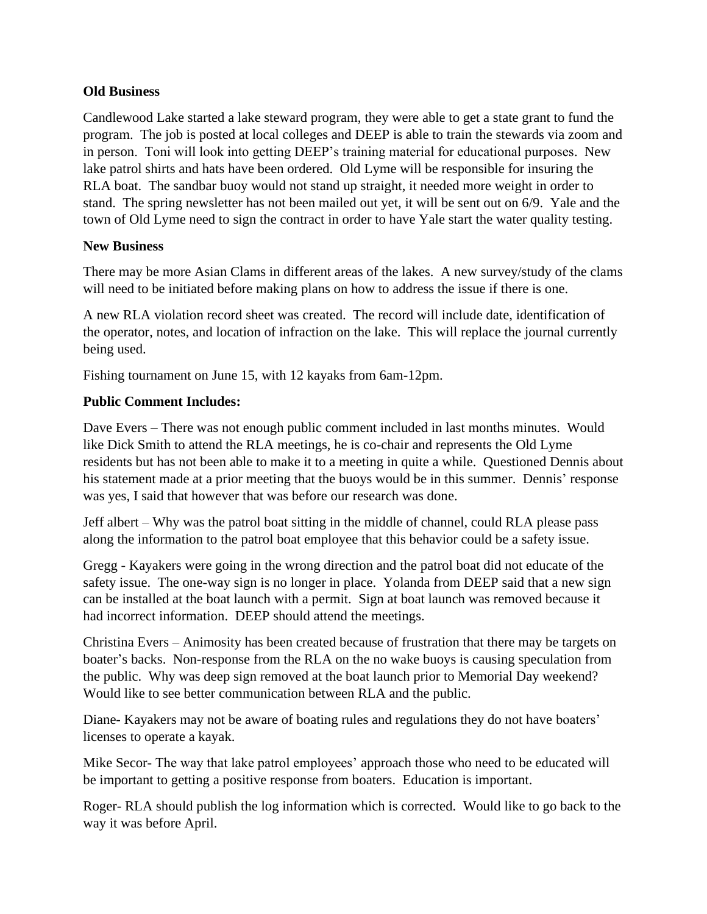### **Old Business**

Candlewood Lake started a lake steward program, they were able to get a state grant to fund the program. The job is posted at local colleges and DEEP is able to train the stewards via zoom and in person. Toni will look into getting DEEP's training material for educational purposes. New lake patrol shirts and hats have been ordered. Old Lyme will be responsible for insuring the RLA boat. The sandbar buoy would not stand up straight, it needed more weight in order to stand. The spring newsletter has not been mailed out yet, it will be sent out on 6/9. Yale and the town of Old Lyme need to sign the contract in order to have Yale start the water quality testing.

### **New Business**

There may be more Asian Clams in different areas of the lakes. A new survey/study of the clams will need to be initiated before making plans on how to address the issue if there is one.

A new RLA violation record sheet was created. The record will include date, identification of the operator, notes, and location of infraction on the lake. This will replace the journal currently being used.

Fishing tournament on June 15, with 12 kayaks from 6am-12pm.

## **Public Comment Includes:**

Dave Evers – There was not enough public comment included in last months minutes. Would like Dick Smith to attend the RLA meetings, he is co-chair and represents the Old Lyme residents but has not been able to make it to a meeting in quite a while. Questioned Dennis about his statement made at a prior meeting that the buoys would be in this summer. Dennis' response was yes, I said that however that was before our research was done.

Jeff albert – Why was the patrol boat sitting in the middle of channel, could RLA please pass along the information to the patrol boat employee that this behavior could be a safety issue.

Gregg - Kayakers were going in the wrong direction and the patrol boat did not educate of the safety issue. The one-way sign is no longer in place. Yolanda from DEEP said that a new sign can be installed at the boat launch with a permit. Sign at boat launch was removed because it had incorrect information. DEEP should attend the meetings.

Christina Evers – Animosity has been created because of frustration that there may be targets on boater's backs. Non-response from the RLA on the no wake buoys is causing speculation from the public. Why was deep sign removed at the boat launch prior to Memorial Day weekend? Would like to see better communication between RLA and the public.

Diane- Kayakers may not be aware of boating rules and regulations they do not have boaters' licenses to operate a kayak.

Mike Secor- The way that lake patrol employees' approach those who need to be educated will be important to getting a positive response from boaters. Education is important.

Roger- RLA should publish the log information which is corrected. Would like to go back to the way it was before April.